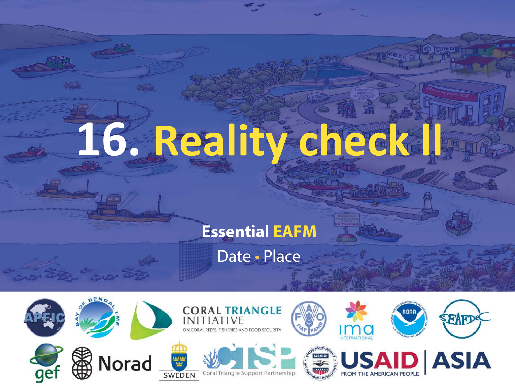# 16. Reality check

#### **Essential EAFM**

Date • Place

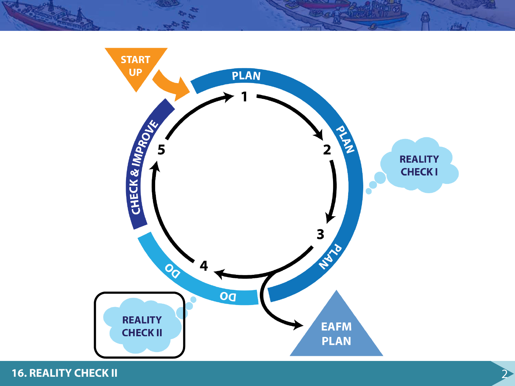

**16. REALITY CHECK II** 2

 $H_{12}$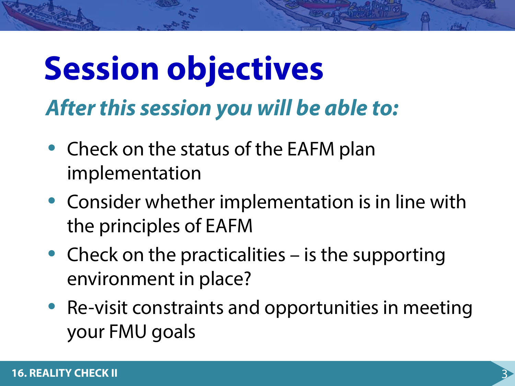### **Session objectives** *After this session you will be able to:*

- Check on the status of the EAFM plan implementation
- Consider whether implementation is in line with the principles of EAFM
- Check on the practicalities is the supporting environment in place?
- Re-visit constraints and opportunities in meeting your FMU goals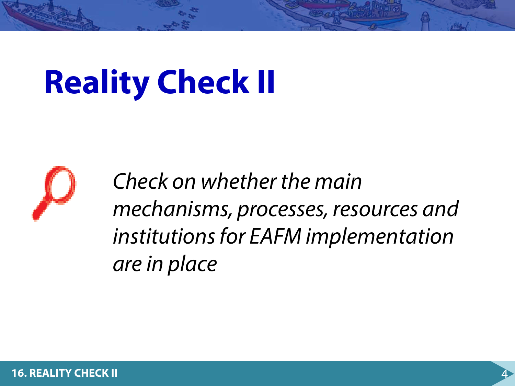# **Reality Check II**



*Check on whether the main mechanisms, processes, resources and institutions for EAFM implementation are in place*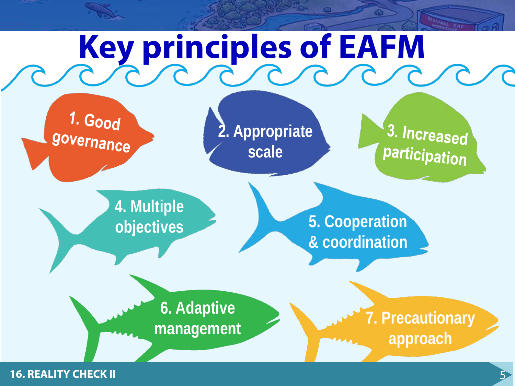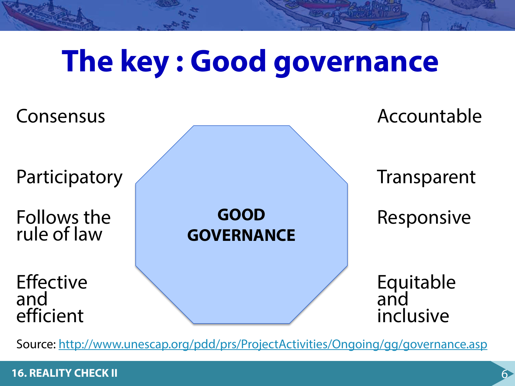### **The key : Good governance**



Source: <http://www.unescap.org/pdd/prs/ProjectActivities/Ongoing/gg/governance.asp>

#### **16. REALITY CHECK II**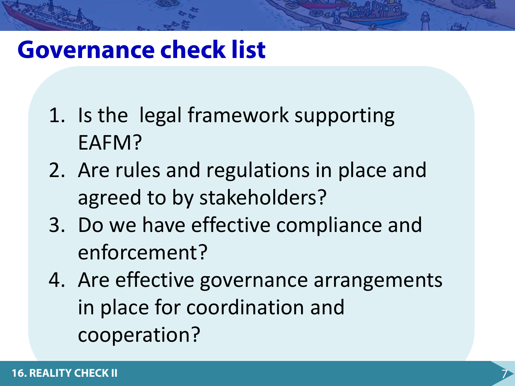#### **Governance check list**

- 1. Is the legal framework supporting EAFM?
- 2. Are rules and regulations in place and agreed to by stakeholders?
- 3. Do we have effective compliance and enforcement?
- 4. Are effective governance arrangements in place for coordination and cooperation?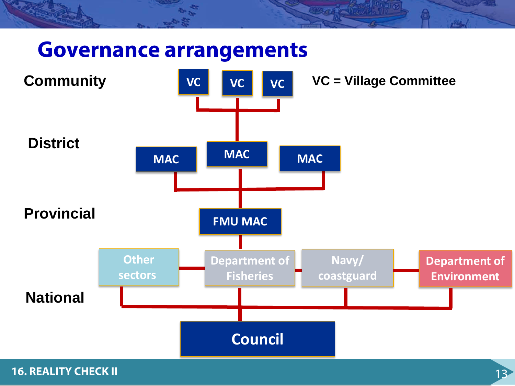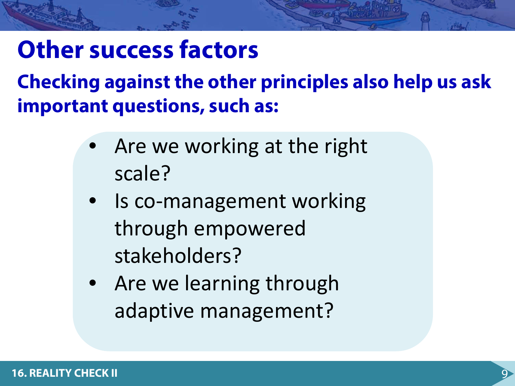#### **Other success factors**

**Checking against the other principles also help us ask important questions, such as:**

- Are we working at the right scale?
- Is co-management working through empowered stakeholders?
- Are we learning through adaptive management?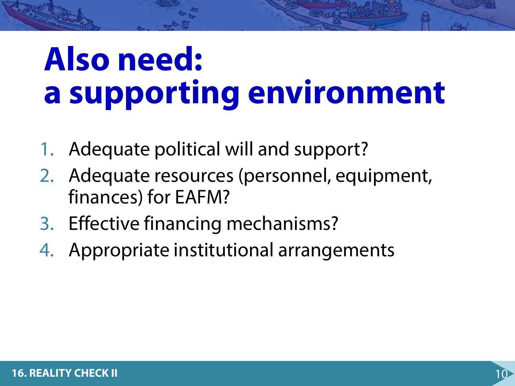### **Also need: a supporting environment**

- 1. Adequate political will and support?
- 2. Adequate resources (personnel, equipment, finances) for EAFM?
- 3. Effective financing mechanisms?
- 4. Appropriate institutional arrangements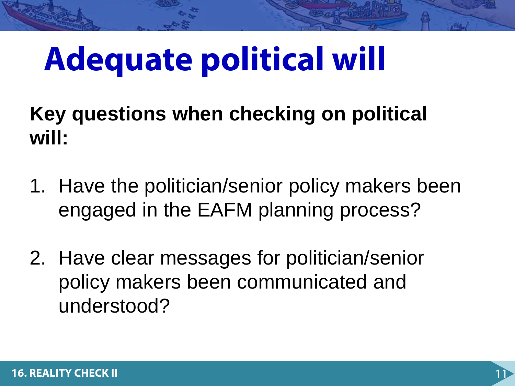## **Adequate political will**

**Key questions when checking on political will:**

- 1. Have the politician/senior policy makers been engaged in the EAFM planning process?
- 2. Have clear messages for politician/senior policy makers been communicated and understood?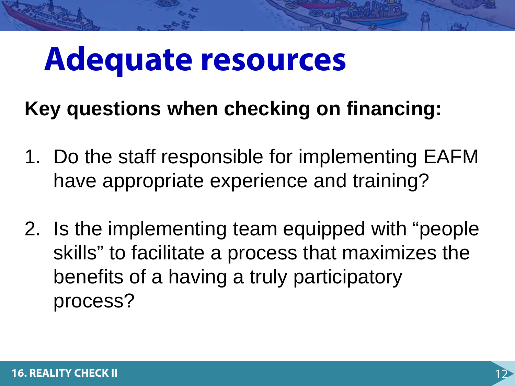#### **Adequate resources**

#### **Key questions when checking on financing:**

- 1. Do the staff responsible for implementing EAFM have appropriate experience and training?
- 2. Is the implementing team equipped with "people skills" to facilitate a process that maximizes the benefits of a having a truly participatory process?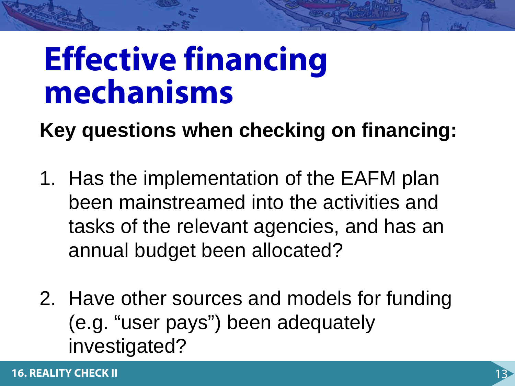### **Effective financing mechanisms**

**Key questions when checking on financing:**

- 1. Has the implementation of the EAFM plan been mainstreamed into the activities and tasks of the relevant agencies, and has an annual budget been allocated?
- 2. Have other sources and models for funding (e.g. "user pays") been adequately investigated?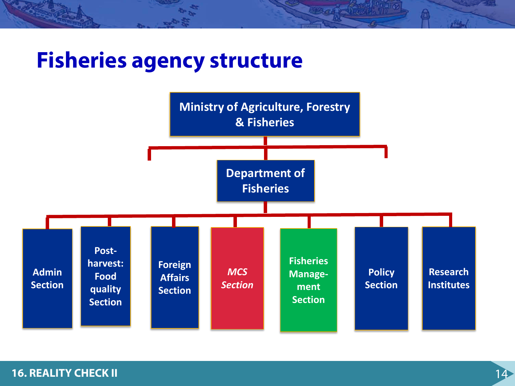#### **Fisheries agency structure**

![](_page_13_Figure_1.jpeg)

#### **16. REALITY CHECK II 14. In the contract of the contract of the contract of the contract of the contract of the contract of the contract of the contract of the contract of the contract of the contract of the contract of**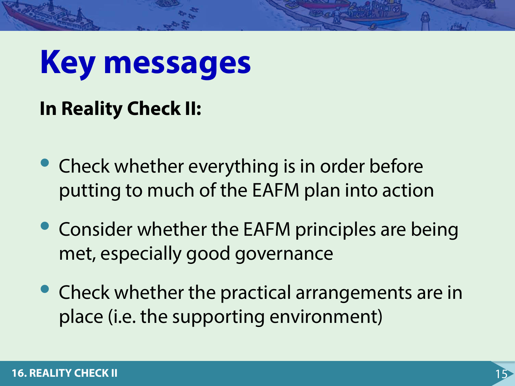# **Key messages**

#### **In Reality Check II:**

- Check whether everything is in order before putting to much of the EAFM plan into action
- Consider whether the EAFM principles are being met, especially good governance
- Check whether the practical arrangements are in place (i.e. the supporting environment)